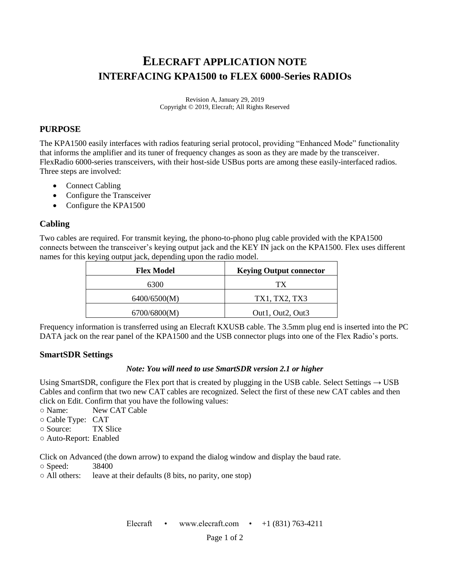# **ELECRAFT APPLICATION NOTE INTERFACING KPA1500 to FLEX 6000-Series RADIOs**

Revision A, January 29, 2019 Copyright © 2019, Elecraft; All Rights Reserved

## **PURPOSE**

The KPA1500 easily interfaces with radios featuring serial protocol, providing "Enhanced Mode" functionality that informs the amplifier and its tuner of frequency changes as soon as they are made by the transceiver. FlexRadio 6000-series transceivers, with their host-side USBus ports are among these easily-interfaced radios. Three steps are involved:

- Connect Cabling
- Configure the Transceiver
- Configure the KPA1500

## **Cabling**

Two cables are required. For transmit keying, the phono-to-phono plug cable provided with the KPA1500 connects between the transceiver's keying output jack and the KEY IN jack on the KPA1500. Flex uses different names for this keying output jack, depending upon the radio model.

| <b>Flex Model</b> | <b>Keying Output connector</b> |
|-------------------|--------------------------------|
| 6300              | ТX                             |
| 6400/6500(M)      | TX1, TX2, TX3                  |
| 6700/6800(M)      | Out1, Out2, Out3               |

Frequency information is transferred using an Elecraft KXUSB cable. The 3.5mm plug end is inserted into the PC DATA jack on the rear panel of the KPA1500 and the USB connector plugs into one of the Flex Radio's ports.

#### **SmartSDR Settings**

#### *Note: You will need to use SmartSDR version 2.1 or higher*

Using SmartSDR, configure the Flex port that is created by plugging in the USB cable. Select Settings  $\rightarrow$  USB Cables and confirm that two new CAT cables are recognized. Select the first of these new CAT cables and then click on Edit. Confirm that you have the following values:

- Name: New CAT Cable
- Cable Type: CAT
- Source: TX Slice
- Auto-Report: Enabled

Click on Advanced (the down arrow) to expand the dialog window and display the baud rate.

○ Speed: 38400

○ All others: leave at their defaults (8 bits, no parity, one stop)